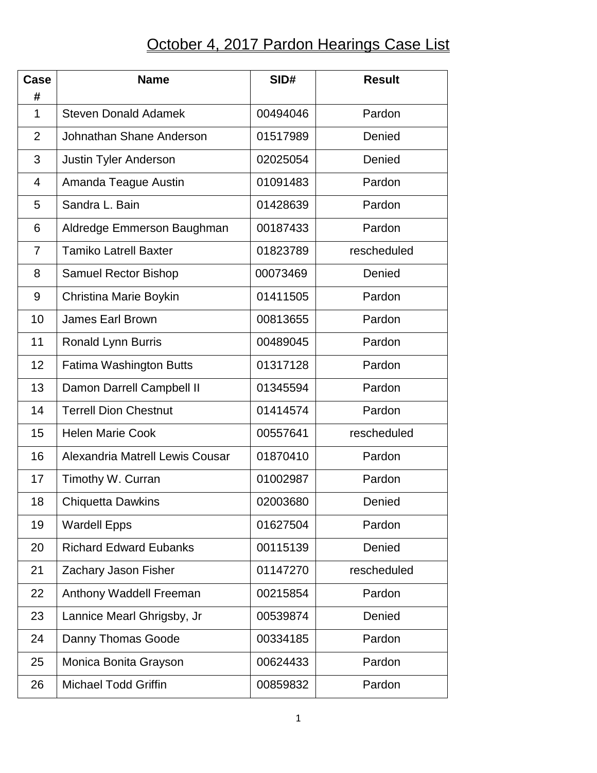## October 4, 2017 Pardon Hearings Case List

| Case<br>#      | <b>Name</b>                     | SID#     | <b>Result</b> |
|----------------|---------------------------------|----------|---------------|
| $\mathbf 1$    | <b>Steven Donald Adamek</b>     | 00494046 | Pardon        |
| $\overline{2}$ | Johnathan Shane Anderson        | 01517989 | Denied        |
| 3              | <b>Justin Tyler Anderson</b>    | 02025054 | Denied        |
| 4              | Amanda Teague Austin            | 01091483 | Pardon        |
| 5              | Sandra L. Bain                  | 01428639 | Pardon        |
| 6              | Aldredge Emmerson Baughman      | 00187433 | Pardon        |
| $\overline{7}$ | <b>Tamiko Latrell Baxter</b>    | 01823789 | rescheduled   |
| 8              | <b>Samuel Rector Bishop</b>     | 00073469 | Denied        |
| 9              | Christina Marie Boykin          | 01411505 | Pardon        |
| 10             | <b>James Earl Brown</b>         | 00813655 | Pardon        |
| 11             | Ronald Lynn Burris              | 00489045 | Pardon        |
| 12             | Fatima Washington Butts         | 01317128 | Pardon        |
| 13             | Damon Darrell Campbell II       | 01345594 | Pardon        |
| 14             | <b>Terrell Dion Chestnut</b>    | 01414574 | Pardon        |
| 15             | <b>Helen Marie Cook</b>         | 00557641 | rescheduled   |
| 16             | Alexandria Matrell Lewis Cousar | 01870410 | Pardon        |
| 17             | Timothy W. Curran               | 01002987 | Pardon        |
| 18             | <b>Chiquetta Dawkins</b>        | 02003680 | Denied        |
| 19             | <b>Wardell Epps</b>             | 01627504 | Pardon        |
| 20             | <b>Richard Edward Eubanks</b>   | 00115139 | Denied        |
| 21             | Zachary Jason Fisher            | 01147270 | rescheduled   |
| 22             | Anthony Waddell Freeman         | 00215854 | Pardon        |
| 23             | Lannice Mearl Ghrigsby, Jr      | 00539874 | Denied        |
| 24             | Danny Thomas Goode              | 00334185 | Pardon        |
| 25             | Monica Bonita Grayson           | 00624433 | Pardon        |
| 26             | <b>Michael Todd Griffin</b>     | 00859832 | Pardon        |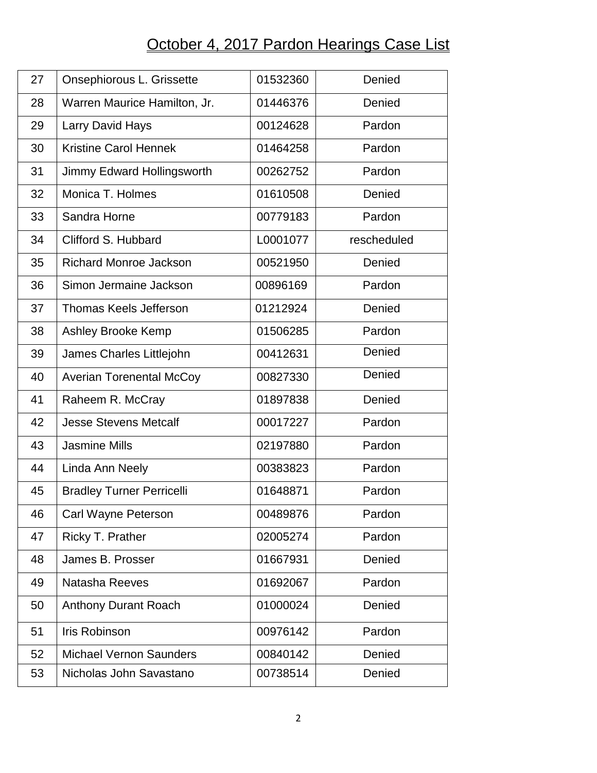## October 4, 2017 Pardon Hearings Case List

| 27 | Onsephiorous L. Grissette        | 01532360 | Denied      |
|----|----------------------------------|----------|-------------|
| 28 | Warren Maurice Hamilton, Jr.     | 01446376 | Denied      |
| 29 | Larry David Hays                 | 00124628 | Pardon      |
| 30 | <b>Kristine Carol Hennek</b>     | 01464258 | Pardon      |
| 31 | Jimmy Edward Hollingsworth       | 00262752 | Pardon      |
| 32 | Monica T. Holmes                 | 01610508 | Denied      |
| 33 | Sandra Horne                     | 00779183 | Pardon      |
| 34 | Clifford S. Hubbard              | L0001077 | rescheduled |
| 35 | <b>Richard Monroe Jackson</b>    | 00521950 | Denied      |
| 36 | Simon Jermaine Jackson           | 00896169 | Pardon      |
| 37 | <b>Thomas Keels Jefferson</b>    | 01212924 | Denied      |
| 38 | Ashley Brooke Kemp               | 01506285 | Pardon      |
| 39 | James Charles Littlejohn         | 00412631 | Denied      |
| 40 | <b>Averian Torenental McCoy</b>  | 00827330 | Denied      |
| 41 | Raheem R. McCray                 | 01897838 | Denied      |
| 42 | <b>Jesse Stevens Metcalf</b>     | 00017227 | Pardon      |
| 43 | <b>Jasmine Mills</b>             | 02197880 | Pardon      |
| 44 | Linda Ann Neely                  | 00383823 | Pardon      |
| 45 | <b>Bradley Turner Perricelli</b> | 01648871 | Pardon      |
| 46 | Carl Wayne Peterson              | 00489876 | Pardon      |
| 47 | Ricky T. Prather                 | 02005274 | Pardon      |
| 48 | James B. Prosser                 | 01667931 | Denied      |
| 49 | Natasha Reeves                   | 01692067 | Pardon      |
| 50 | <b>Anthony Durant Roach</b>      | 01000024 | Denied      |
| 51 | <b>Iris Robinson</b>             | 00976142 | Pardon      |
| 52 | <b>Michael Vernon Saunders</b>   | 00840142 | Denied      |
| 53 | Nicholas John Savastano          | 00738514 | Denied      |